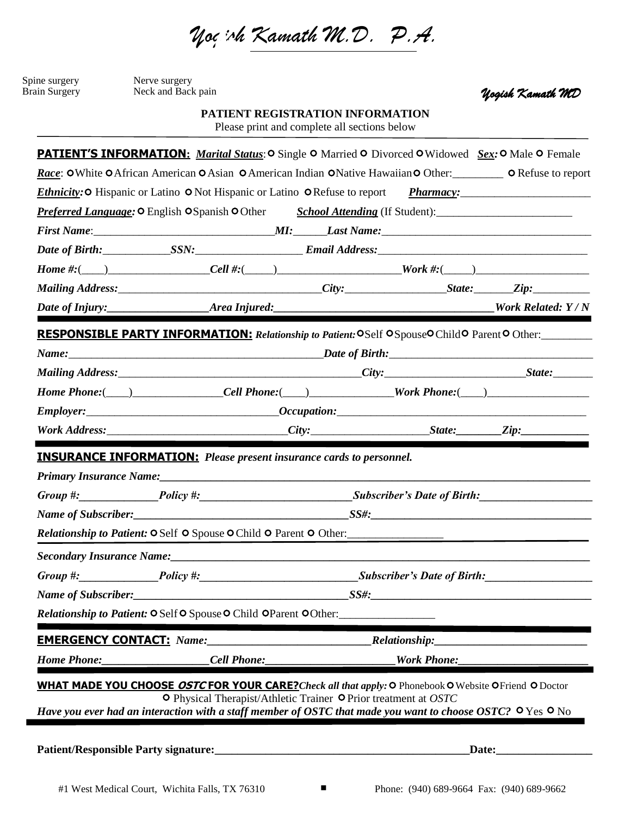*Yogish Kamath M.D. P.A.* 

| Spine surgery | Nerve surgery      |
|---------------|--------------------|
| Brain Surgery | Neck and Back pain |

*Yogish Kamath MD*

**PATIENT REGISTRATION INFORMATION**

Please print and complete all sections below

|                                                                                                                                                                                                                                        | <i>Ethnicity:</i> O Hispanic or Latino O Not Hispanic or Latino O Refuse to report <i>Pharmacy:</i> |  | Race: OWhite OAfrican American OAsian OAmerican Indian ONative Hawaiian OOther: ORefuse to report |
|----------------------------------------------------------------------------------------------------------------------------------------------------------------------------------------------------------------------------------------|-----------------------------------------------------------------------------------------------------|--|---------------------------------------------------------------------------------------------------|
| <b>Preferred Language: O</b> English OSpanish OOther School Attending (If Student):                                                                                                                                                    |                                                                                                     |  |                                                                                                   |
|                                                                                                                                                                                                                                        |                                                                                                     |  |                                                                                                   |
|                                                                                                                                                                                                                                        |                                                                                                     |  |                                                                                                   |
|                                                                                                                                                                                                                                        |                                                                                                     |  |                                                                                                   |
| Mailing Address: __________________________________City: __________________State: ________Zip: _______________                                                                                                                         |                                                                                                     |  |                                                                                                   |
|                                                                                                                                                                                                                                        |                                                                                                     |  |                                                                                                   |
| RESPONSIBLE PARTY INFORMATION: Relationship to Patient: OSelf OSpouseOChildO ParentO Other:                                                                                                                                            |                                                                                                     |  |                                                                                                   |
|                                                                                                                                                                                                                                        |                                                                                                     |  |                                                                                                   |
|                                                                                                                                                                                                                                        |                                                                                                     |  |                                                                                                   |
| Home Phone: (interval and the Cell Phone: (interval and the Phone Phone Phone Phone Phone Phone Phone Phone Phone Phone Phone Phone Phone Phone Phone Phone Phone Phone Phone Phone Phone Phone Phone Phone Phone Phone Phone          |                                                                                                     |  |                                                                                                   |
|                                                                                                                                                                                                                                        |                                                                                                     |  |                                                                                                   |
|                                                                                                                                                                                                                                        |                                                                                                     |  |                                                                                                   |
| Group #: Policy #: Policy #: Policy #: Subscriber's Date of Birth:<br>Relationship to Patient: O Self O Spouse O Child O Parent O Other:                                                                                               |                                                                                                     |  |                                                                                                   |
|                                                                                                                                                                                                                                        |                                                                                                     |  |                                                                                                   |
| Group #: Policy #: Policy #: Policy #: Subscriber's Date of Birth:                                                                                                                                                                     |                                                                                                     |  |                                                                                                   |
| Name of Subscriber:                                                                                                                                                                                                                    |                                                                                                     |  |                                                                                                   |
|                                                                                                                                                                                                                                        | <b>Relationship to Patient: OSelf OSpouse OChild OParent OOther:</b>                                |  |                                                                                                   |
|                                                                                                                                                                                                                                        |                                                                                                     |  |                                                                                                   |
|                                                                                                                                                                                                                                        |                                                                                                     |  |                                                                                                   |
| Home Phone:_____________________Cell Phone:________________________Work Phone:________________________________                                                                                                                         |                                                                                                     |  |                                                                                                   |
| <b>WHAT MADE YOU CHOOSE OSTC FOR YOUR CARE?</b> Check all that apply: O Phonebook O Website OFriend O Doctor<br>Have you ever had an interaction with a staff member of OSTC that made you want to choose OSTC? $\circ$ Yes $\circ$ No | O Physical Therapist/Athletic Trainer O Prior treatment at OSTC                                     |  |                                                                                                   |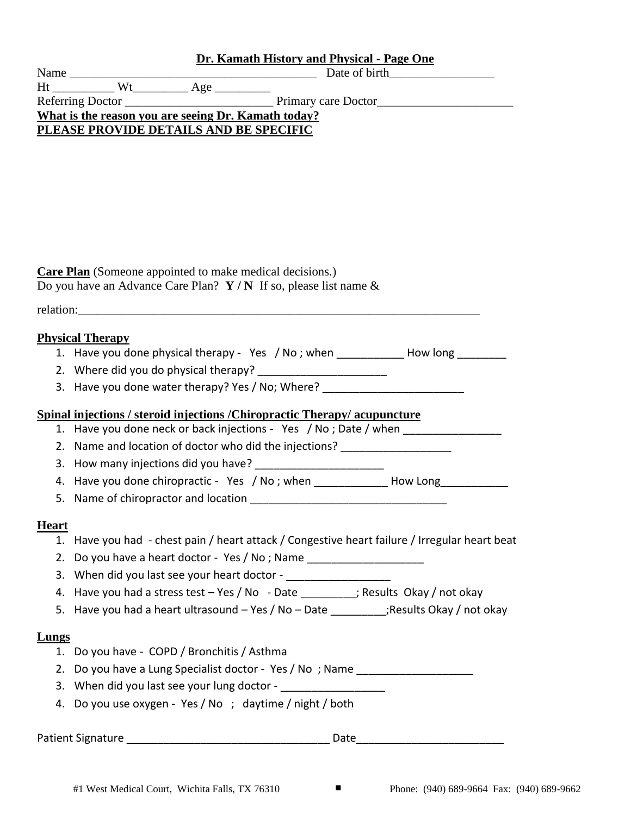|                                                                 | Dr. Kamath History and Physical - Page One                                       |  |
|-----------------------------------------------------------------|----------------------------------------------------------------------------------|--|
|                                                                 |                                                                                  |  |
|                                                                 |                                                                                  |  |
|                                                                 |                                                                                  |  |
| What is the reason you are seeing Dr. Kamath today?             |                                                                                  |  |
| PLEASE PROVIDE DETAILS AND BE SPECIFIC                          |                                                                                  |  |
|                                                                 |                                                                                  |  |
|                                                                 |                                                                                  |  |
|                                                                 |                                                                                  |  |
|                                                                 |                                                                                  |  |
|                                                                 |                                                                                  |  |
|                                                                 |                                                                                  |  |
|                                                                 |                                                                                  |  |
|                                                                 |                                                                                  |  |
| <b>Care Plan</b> (Someone appointed to make medical decisions.) |                                                                                  |  |
|                                                                 | Do you have an Advance Care Plan? $Y/N$ If so, please list name &                |  |
|                                                                 |                                                                                  |  |
|                                                                 | relation:                                                                        |  |
|                                                                 |                                                                                  |  |
|                                                                 |                                                                                  |  |
| <b>Physical Therapy</b>                                         |                                                                                  |  |
|                                                                 | 1. Have you done physical therapy - Yes / No; when _____________________________ |  |

3. Have you done water therapy? Yes / No; Where?

# **Spinal injections / steroid injections /Chiropractic Therapy/ acupuncture**

- 1. Have you done neck or back injections Yes / No; Date / when \_\_\_\_\_\_\_\_\_\_\_\_\_\_\_
- 2. Name and location of doctor who did the injections?
- 3. How many injections did you have?
- 4. Have you done chiropractic Yes / No; when How Long
- 5. Name of chiropractor and location

# **Heart**

- 1. Have you had chest pain / heart attack / Congestive heart failure / Irregular heart beat
- 2. Do you have a heart doctor Yes / No ; Name
- 3. When did you last see your heart doctor \_\_\_\_\_\_\_\_\_\_
- 4. Have you had a stress test Yes / No Date \_\_\_\_\_\_\_\_; Results Okay / not okay
- 5. Have you had a heart ultrasound  $-$  Yes / No  $-$  Date  $\cdot$  ; Results Okay / not okay

# **Lungs**

- 1. Do you have COPD / Bronchitis / Asthma
- 2. Do you have a Lung Specialist doctor Yes / No; Name \_\_\_\_\_\_\_\_\_\_\_\_\_\_\_\_\_\_\_\_\_\_\_
- 3. When did you last see your lung doctor -
- 4. Do you use oxygen Yes / No ; daytime / night / both

Patient Signature **Example 20** and 20 and 20 and 20 and 20 and 20 and 20 and 20 and 20 and 20 and 20 and 20 and 20 and 20 and 20 and 20 and 20 and 20 and 20 and 20 and 20 and 20 and 20 and 20 and 20 and 20 and 20 and 20 an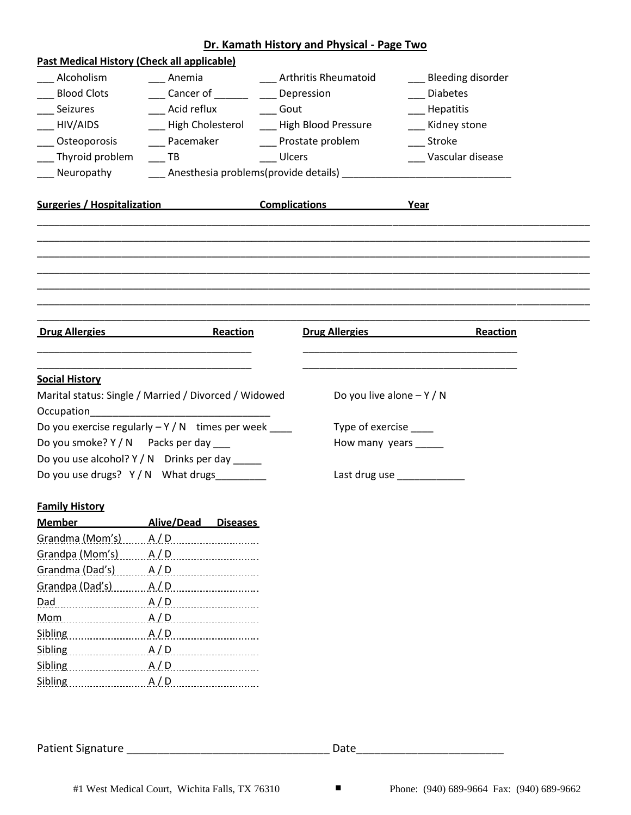|                                                                                                                                                                                  |                                                                          | Dr. Kamath History and Physical - Page Two |                       |
|----------------------------------------------------------------------------------------------------------------------------------------------------------------------------------|--------------------------------------------------------------------------|--------------------------------------------|-----------------------|
|                                                                                                                                                                                  | <b>Past Medical History (Check all applicable)</b>                       |                                            |                       |
| Alcoholism                                                                                                                                                                       | Anemia Anthritis Rheumatoid                                              |                                            | ___ Bleeding disorder |
| <b>Blood Clots</b>                                                                                                                                                               | Cancer of _______ _____ Depression                                       |                                            | <b>Diabetes</b>       |
| Seizures                                                                                                                                                                         | Acid reflux _______ Gout                                                 |                                            | Hepatitis             |
| __ HIV/AIDS                                                                                                                                                                      | ___ High Cholesterol ____ High Blood Pressure                            |                                            | Kidney stone          |
| __ Osteoporosis                                                                                                                                                                  | ____ Pacemaker _______ Prostate problem                                  |                                            | Stroke                |
| Thyroid problem                                                                                                                                                                  | TB Ulcers                                                                |                                            | Vascular disease      |
| Neuropathy                                                                                                                                                                       |                                                                          |                                            |                       |
|                                                                                                                                                                                  | Surgeries / Hospitalization <b>Complications Complications Propriety</b> |                                            |                       |
|                                                                                                                                                                                  |                                                                          |                                            |                       |
|                                                                                                                                                                                  |                                                                          |                                            |                       |
| <b>Drug Allergies</b>                                                                                                                                                            | <b>Reaction</b>                                                          | <b>Drug Allergies</b>                      | Reaction              |
|                                                                                                                                                                                  |                                                                          |                                            |                       |
|                                                                                                                                                                                  |                                                                          |                                            |                       |
|                                                                                                                                                                                  |                                                                          |                                            |                       |
|                                                                                                                                                                                  | Marital status: Single / Married / Divorced / Widowed                    | Do you live alone $-Y/N$                   |                       |
| <b>Social History</b>                                                                                                                                                            |                                                                          |                                            |                       |
|                                                                                                                                                                                  | Do you exercise regularly $-Y/N$ times per week ____                     | Type of exercise                           |                       |
|                                                                                                                                                                                  | Do you smoke? Y / N Packs per day                                        | How many years _____                       |                       |
|                                                                                                                                                                                  | Do you use alcohol? Y / N Drinks per day _____                           |                                            |                       |
|                                                                                                                                                                                  | Do you use drugs? Y/N What drugs                                         |                                            | Last drug use         |
|                                                                                                                                                                                  |                                                                          |                                            |                       |
|                                                                                                                                                                                  | Alive/Dead<br><b>Diseases</b>                                            |                                            |                       |
|                                                                                                                                                                                  | A/D                                                                      |                                            |                       |
|                                                                                                                                                                                  |                                                                          |                                            |                       |
|                                                                                                                                                                                  | A/D                                                                      |                                            |                       |
|                                                                                                                                                                                  | A/D                                                                      |                                            |                       |
|                                                                                                                                                                                  |                                                                          |                                            |                       |
|                                                                                                                                                                                  | $Mom$ $A/D$                                                              |                                            |                       |
|                                                                                                                                                                                  | A/D                                                                      |                                            |                       |
| A/D                                                                                                                                                                              |                                                                          |                                            |                       |
| <b>Family History</b><br><b>Member</b><br>Grandma (Mom's)<br>Grandpa (Mom's) ______ A/D<br>Grandma (Dad's)<br>Grandpa (Dad's)<br>Dad A/D<br>Sibling<br><b>Sibling</b><br>Sibling | A/D                                                                      |                                            |                       |

Patient Signature \_\_\_\_\_\_\_\_\_\_\_\_\_\_\_\_\_\_\_\_\_\_\_\_\_\_\_\_\_\_\_\_\_ Date\_\_\_\_\_\_\_\_\_\_\_\_\_\_\_\_\_\_\_\_\_\_\_\_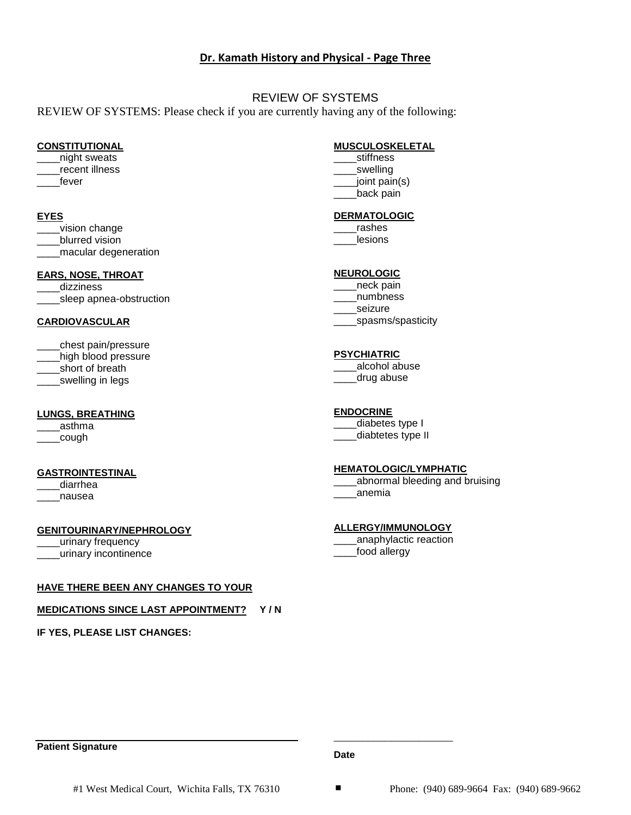## **Dr. Kamath History and Physical - Page Three**

## REVIEW OF SYSTEMS

REVIEW OF SYSTEMS: Please check if you are currently having any of the following:

#### **CONSTITUTIONAL**

- \_\_\_\_night sweats
- \_\_\_\_recent illness
- $\_$ fever

#### **EYES**

- vision change
- \_\_\_\_blurred vision

\_\_\_\_macular degeneration

## **EARS, NOSE, THROAT**

dizziness \_sleep apnea-obstruction

#### **CARDIOVASCULAR**

\_\_\_\_chest pain/pressure \_\_\_\_high blood pressure \_short of breath

\_\_\_\_swelling in legs

#### **LUNGS, BREATHING**

\_\_\_\_asthma

 $\rule{1em}{0.15mm}$ cough

#### **GASTROINTESTINAL**

diarrhea \_\_\_\_nausea

#### **GENITOURINARY/NEPHROLOGY**

- \_\_\_\_urinary frequency
- \_\_\_\_urinary incontinence

# **HAVE THERE BEEN ANY CHANGES TO YOUR**

# **MEDICATIONS SINCE LAST APPOINTMENT? Y / N**

**IF YES, PLEASE LIST CHANGES:**

## **MUSCULOSKELETAL**

\_\_\_\_stiffness \_\_\_\_swelling \_\_\_\_joint pain(s) \_\_\_\_back pain

## **DERMATOLOGIC**

\_\_\_\_rashes \_\_\_\_lesions

## **NEUROLOGIC**

\_\_\_\_neck pain \_\_\_\_numbness \_\_\_\_seizure \_\_\_\_spasms/spasticity

## **PSYCHIATRIC**

alcohol abuse \_\_\_\_drug abuse

## **ENDOCRINE**

\_\_\_\_diabetes type I \_\_\_\_diabtetes type II

## **HEMATOLOGIC/LYMPHATIC**

\_\_\_\_abnormal bleeding and bruising \_\_\_\_anemia

## **ALLERGY/IMMUNOLOGY**

\_\_\_\_anaphylactic reaction \_\_\_\_food allergy

\_\_\_\_\_\_\_\_\_\_\_\_\_\_\_\_\_\_\_\_\_

## **Patient Signature**

**Date**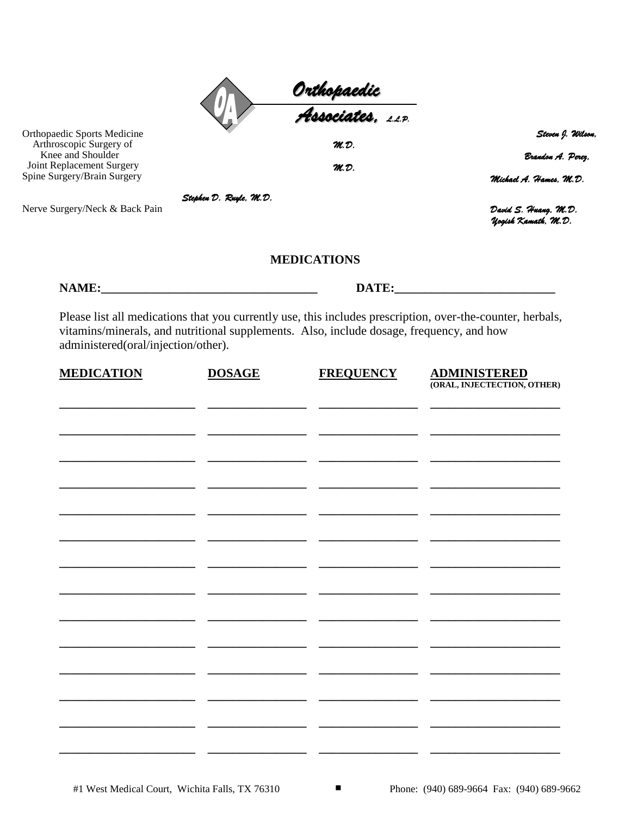|                                                                                    |                        | Orthopaedic<br><del>A</del> ssociates. <u>11P</u>                                        |                                                                                                            |
|------------------------------------------------------------------------------------|------------------------|------------------------------------------------------------------------------------------|------------------------------------------------------------------------------------------------------------|
|                                                                                    |                        |                                                                                          |                                                                                                            |
| <b>Orthopaedic Sports Medicine</b><br>Arthroscopic Surgery of<br>Knee and Shoulder |                        | M.D.                                                                                     | Steven J. Wilson,<br>Brandon A. Perez.                                                                     |
| Joint Replacement Surgery<br>Spine Surgery/Brain Surgery                           |                        | M.D.                                                                                     | Michael A. Hames. M.D.                                                                                     |
|                                                                                    | Stephen D. Ruyle, M.D. |                                                                                          |                                                                                                            |
| Nerve Surgery/Neck & Back Pain                                                     |                        |                                                                                          | David S. Huang, M.D.<br><b>Uogish Kamath, M.D.</b>                                                         |
|                                                                                    |                        | <b>MEDICATIONS</b>                                                                       |                                                                                                            |
|                                                                                    |                        |                                                                                          | DATE:                                                                                                      |
| administered(oral/injection/other).                                                |                        | vitamins/minerals, and nutritional supplements. Also, include dosage, frequency, and how | Please list all medications that you currently use, this includes prescription, over-the-counter, herbals, |
| <b>MEDICATION</b>                                                                  | <b>DOSAGE</b>          | <b>FREQUENCY</b>                                                                         | <b>ADMINISTERED</b><br>(ORAL, INJECTECTION, OTHER)                                                         |
|                                                                                    |                        |                                                                                          |                                                                                                            |
|                                                                                    |                        |                                                                                          |                                                                                                            |
|                                                                                    |                        |                                                                                          |                                                                                                            |
|                                                                                    |                        |                                                                                          |                                                                                                            |
|                                                                                    |                        |                                                                                          |                                                                                                            |
|                                                                                    |                        |                                                                                          |                                                                                                            |
|                                                                                    |                        |                                                                                          |                                                                                                            |
|                                                                                    |                        |                                                                                          |                                                                                                            |
|                                                                                    |                        |                                                                                          |                                                                                                            |
|                                                                                    |                        |                                                                                          |                                                                                                            |
|                                                                                    |                        |                                                                                          |                                                                                                            |
|                                                                                    |                        |                                                                                          |                                                                                                            |
|                                                                                    |                        |                                                                                          |                                                                                                            |
|                                                                                    |                        |                                                                                          |                                                                                                            |
|                                                                                    |                        |                                                                                          |                                                                                                            |
|                                                                                    |                        |                                                                                          |                                                                                                            |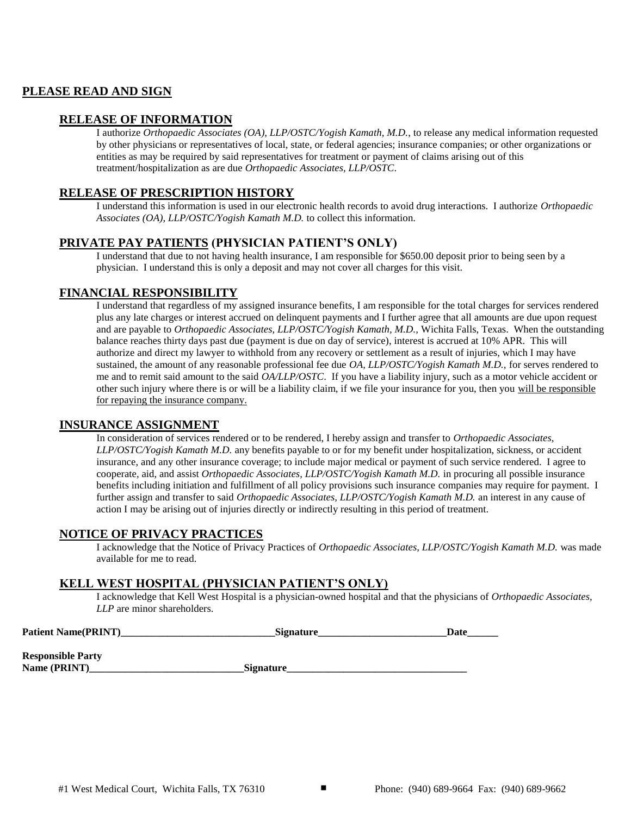## **PLEASE READ AND SIGN**

## **RELEASE OF INFORMATION**

I authorize *Orthopaedic Associates (OA), LLP/OSTC/Yogish Kamath, M.D.*, to release any medical information requested by other physicians or representatives of local, state, or federal agencies; insurance companies; or other organizations or entities as may be required by said representatives for treatment or payment of claims arising out of this treatment/hospitalization as are due *Orthopaedic Associates, LLP/OSTC*.

## **RELEASE OF PRESCRIPTION HISTORY**

I understand this information is used in our electronic health records to avoid drug interactions. I authorize *Orthopaedic Associates (OA), LLP/OSTC/Yogish Kamath M.D.* to collect this information.

## **PRIVATE PAY PATIENTS (PHYSICIAN PATIENT'S ONLY)**

I understand that due to not having health insurance, I am responsible for \$650.00 deposit prior to being seen by a physician. I understand this is only a deposit and may not cover all charges for this visit.

## **FINANCIAL RESPONSIBILITY**

I understand that regardless of my assigned insurance benefits, I am responsible for the total charges for services rendered plus any late charges or interest accrued on delinquent payments and I further agree that all amounts are due upon request and are payable to *Orthopaedic Associates, LLP/OSTC/Yogish Kamath, M.D.,* Wichita Falls, Texas. When the outstanding balance reaches thirty days past due (payment is due on day of service), interest is accrued at 10% APR. This will authorize and direct my lawyer to withhold from any recovery or settlement as a result of injuries, which I may have sustained, the amount of any reasonable professional fee due *OA, LLP/OSTC/Yogish Kamath M.D.,* for serves rendered to me and to remit said amount to the said *OA/LLP/OSTC*. If you have a liability injury, such as a motor vehicle accident or other such injury where there is or will be a liability claim, if we file your insurance for you, then you will be responsible for repaying the insurance company.

#### **INSURANCE ASSIGNMENT**

In consideration of services rendered or to be rendered, I hereby assign and transfer to *Orthopaedic Associates, LLP/OSTC/Yogish Kamath M.D.* any benefits payable to or for my benefit under hospitalization, sickness, or accident insurance, and any other insurance coverage; to include major medical or payment of such service rendered. I agree to cooperate, aid, and assist *Orthopaedic Associates, LLP/OSTC/Yogish Kamath M.D.* in procuring all possible insurance benefits including initiation and fulfillment of all policy provisions such insurance companies may require for payment. I further assign and transfer to said *Orthopaedic Associates, LLP/OSTC/Yogish Kamath M.D.* an interest in any cause of action I may be arising out of injuries directly or indirectly resulting in this period of treatment.

#### **NOTICE OF PRIVACY PRACTICES**

I acknowledge that the Notice of Privacy Practices of *Orthopaedic Associates, LLP/OSTC/Yogish Kamath M.D.* was made available for me to read.

#### **KELL WEST HOSPITAL (PHYSICIAN PATIENT'S ONLY)**

I acknowledge that Kell West Hospital is a physician-owned hospital and that the physicians of *Orthopaedic Associates, LLP* are minor shareholders.

| <b>Patient Name(PRINT)</b>               | <b>Signature</b> | Date |
|------------------------------------------|------------------|------|
| <b>Responsible Party</b><br>Name (PRINT) | <b>Signature</b> |      |
|                                          |                  |      |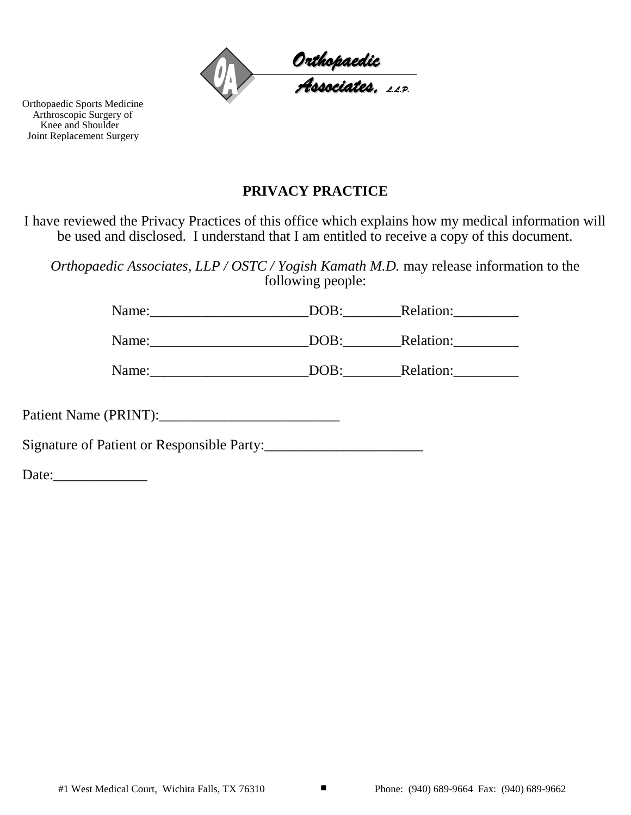

Orthopaedic Sports Medicine Arthroscopic Surgery of Knee and Shoulder Joint Replacement Surgery

# **PRIVACY PRACTICE**

I have reviewed the Privacy Practices of this office which explains how my medical information will be used and disclosed. I understand that I am entitled to receive a copy of this document.

*Orthopaedic Associates, LLP / OSTC / Yogish Kamath M.D.* may release information to the following people:

Name: DOB: Relation:

Name: DOB: Relation:

Name:\_\_\_\_\_\_\_\_\_\_\_\_\_\_\_\_\_\_\_\_\_\_DOB:\_\_\_\_\_\_\_\_Relation:\_\_\_\_\_\_\_\_\_

Patient Name (PRINT):\_\_\_\_\_\_\_\_\_\_\_\_\_\_\_\_\_\_\_\_\_\_\_\_\_

Signature of Patient or Responsible Party:

Date:\_\_\_\_\_\_\_\_\_\_\_\_\_